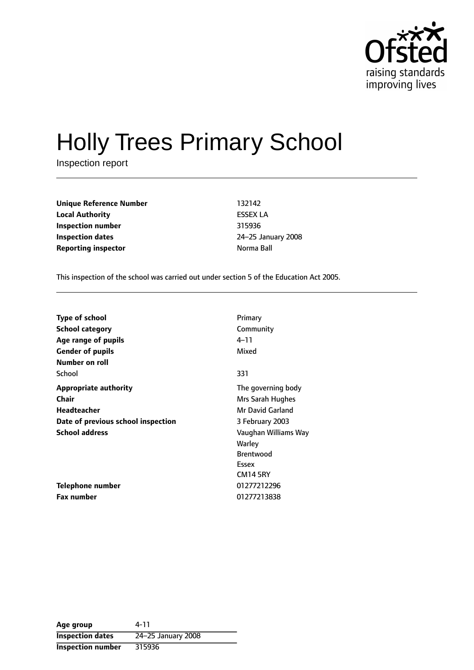

# Holly Trees Primary School

Inspection report

**Unique Reference Number** 132142 **Local Authority** ESSEX LA **Inspection number** 315936 **Inspection dates** 24-25 January 2008 **Reporting inspector and a linear Reporting inspector notation notation Norma Ball** 

This inspection of the school was carried out under section 5 of the Education Act 2005.

| <b>Type of school</b>              | Primary              |
|------------------------------------|----------------------|
| <b>School category</b>             | Community            |
| Age range of pupils                | 4–11                 |
| <b>Gender of pupils</b>            | Mixed                |
| Number on roll                     |                      |
| School                             | 331                  |
| <b>Appropriate authority</b>       | The governing body   |
| <b>Chair</b>                       | Mrs Sarah Hughes     |
| Headteacher                        | Mr David Garland     |
| Date of previous school inspection | 3 February 2003      |
| <b>School address</b>              | Vaughan Williams Way |
|                                    | Warley               |
|                                    | <b>Brentwood</b>     |
|                                    | Essex                |
|                                    | <b>CM14 5RY</b>      |
| Telephone number                   | 01277212296          |
| Fax number                         | 01277213838          |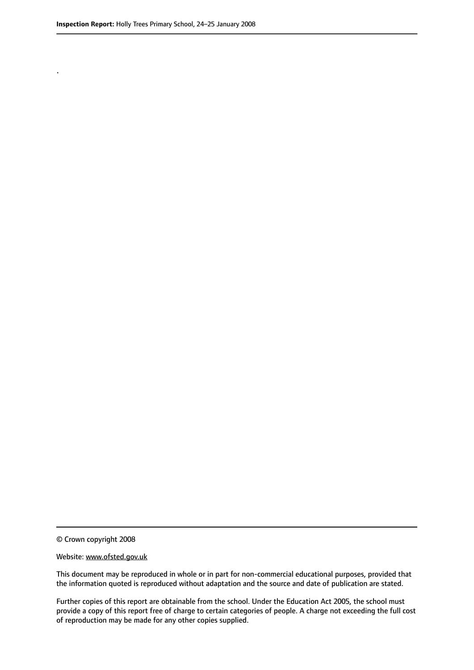.

© Crown copyright 2008

#### Website: www.ofsted.gov.uk

This document may be reproduced in whole or in part for non-commercial educational purposes, provided that the information quoted is reproduced without adaptation and the source and date of publication are stated.

Further copies of this report are obtainable from the school. Under the Education Act 2005, the school must provide a copy of this report free of charge to certain categories of people. A charge not exceeding the full cost of reproduction may be made for any other copies supplied.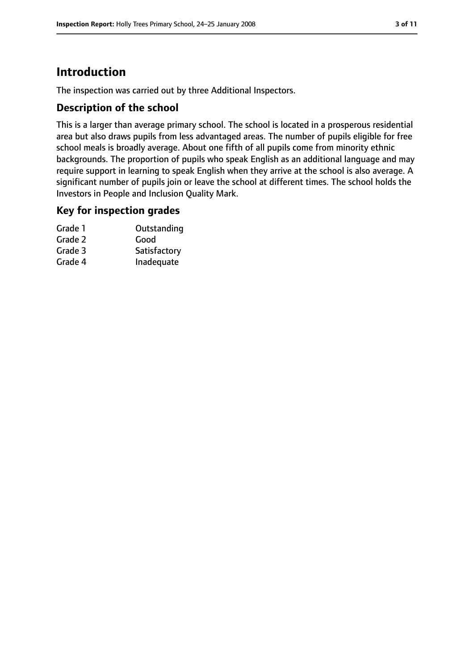# **Introduction**

The inspection was carried out by three Additional Inspectors.

### **Description of the school**

This is a larger than average primary school. The school is located in a prosperous residential area but also draws pupils from less advantaged areas. The number of pupils eligible for free school meals is broadly average. About one fifth of all pupils come from minority ethnic backgrounds. The proportion of pupils who speak English as an additional language and may require support in learning to speak English when they arrive at the school is also average. A significant number of pupils join or leave the school at different times. The school holds the Investors in People and Inclusion Quality Mark.

#### **Key for inspection grades**

| Grade 1 | Outstanding  |
|---------|--------------|
| Grade 2 | Good         |
| Grade 3 | Satisfactory |
| Grade 4 | Inadequate   |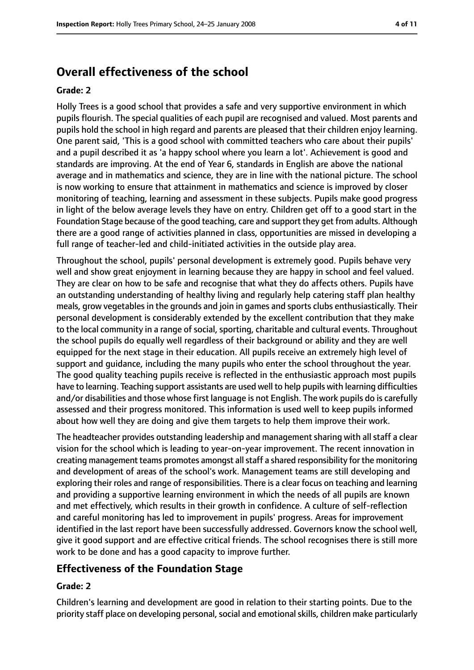# **Overall effectiveness of the school**

#### **Grade: 2**

Holly Trees is a good school that provides a safe and very supportive environment in which pupils flourish. The special qualities of each pupil are recognised and valued. Most parents and pupils hold the school in high regard and parents are pleased that their children enjoy learning. One parent said, 'This is a good school with committed teachers who care about their pupils' and a pupil described it as 'a happy school where you learn a lot'. Achievement is good and standards are improving. At the end of Year 6, standards in English are above the national average and in mathematics and science, they are in line with the national picture. The school is now working to ensure that attainment in mathematics and science is improved by closer monitoring of teaching, learning and assessment in these subjects. Pupils make good progress in light of the below average levels they have on entry. Children get off to a good start in the Foundation Stage because of the good teaching, care and support they get from adults. Although there are a good range of activities planned in class, opportunities are missed in developing a full range of teacher-led and child-initiated activities in the outside play area.

Throughout the school, pupils' personal development is extremely good. Pupils behave very well and show great enjoyment in learning because they are happy in school and feel valued. They are clear on how to be safe and recognise that what they do affects others. Pupils have an outstanding understanding of healthy living and regularly help catering staff plan healthy meals, grow vegetables in the grounds and join in games and sports clubs enthusiastically. Their personal development is considerably extended by the excellent contribution that they make to the local community in a range of social, sporting, charitable and cultural events. Throughout the school pupils do equally well regardless of their background or ability and they are well equipped for the next stage in their education. All pupils receive an extremely high level of support and guidance, including the many pupils who enter the school throughout the year. The good quality teaching pupils receive is reflected in the enthusiastic approach most pupils have to learning. Teaching support assistants are used well to help pupils with learning difficulties and/or disabilities and those whose first language is not English. The work pupils do is carefully assessed and their progress monitored. This information is used well to keep pupils informed about how well they are doing and give them targets to help them improve their work.

The headteacher provides outstanding leadership and management sharing with all staff a clear vision for the school which is leading to year-on-year improvement. The recent innovation in creating management teams promotes amongst all staff a shared responsibility for the monitoring and development of areas of the school's work. Management teams are still developing and exploring their roles and range of responsibilities. There is a clear focus on teaching and learning and providing a supportive learning environment in which the needs of all pupils are known and met effectively, which results in their growth in confidence. A culture of self-reflection and careful monitoring has led to improvement in pupils' progress. Areas for improvement identified in the last report have been successfully addressed. Governors know the school well, give it good support and are effective critical friends. The school recognises there is still more work to be done and has a good capacity to improve further.

## **Effectiveness of the Foundation Stage**

#### **Grade: 2**

Children's learning and development are good in relation to their starting points. Due to the priority staff place on developing personal, social and emotional skills, children make particularly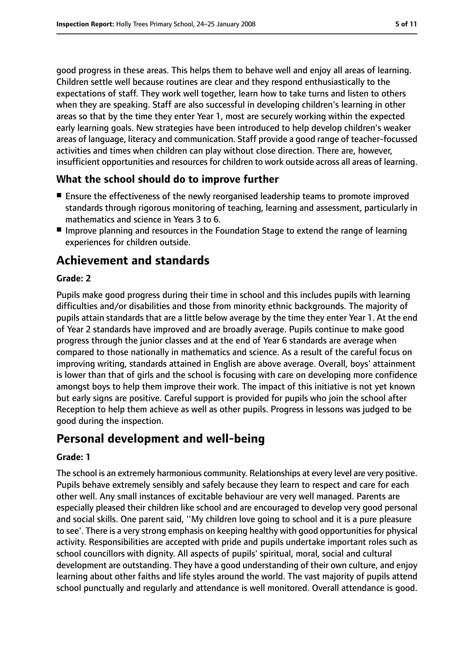good progress in these areas. This helps them to behave well and enjoy all areas of learning. Children settle well because routines are clear and they respond enthusiastically to the expectations of staff. They work well together, learn how to take turns and listen to others when they are speaking. Staff are also successful in developing children's learning in other areas so that by the time they enter Year 1, most are securely working within the expected early learning goals. New strategies have been introduced to help develop children's weaker areas of language, literacy and communication. Staff provide a good range of teacher-focussed activities and times when children can play without close direction. There are, however, insufficient opportunities and resources for children to work outside across all areas of learning.

### **What the school should do to improve further**

- Ensure the effectiveness of the newly reorganised leadership teams to promote improved standards through rigorous monitoring of teaching, learning and assessment, particularly in mathematics and science in Years 3 to 6.
- Improve planning and resources in the Foundation Stage to extend the range of learning experiences for children outside.

# **Achievement and standards**

#### **Grade: 2**

Pupils make good progress during their time in school and this includes pupils with learning difficulties and/or disabilities and those from minority ethnic backgrounds. The majority of pupils attain standards that are a little below average by the time they enter Year 1. At the end of Year 2 standards have improved and are broadly average. Pupils continue to make good progress through the junior classes and at the end of Year 6 standards are average when compared to those nationally in mathematics and science. As a result of the careful focus on improving writing, standards attained in English are above average. Overall, boys' attainment is lower than that of girls and the school is focusing with care on developing more confidence amongst boys to help them improve their work. The impact of this initiative is not yet known but early signs are positive. Careful support is provided for pupils who join the school after Reception to help them achieve as well as other pupils. Progress in lessons was judged to be good during the inspection.

# **Personal development and well-being**

#### **Grade: 1**

The school is an extremely harmonious community. Relationships at every level are very positive. Pupils behave extremely sensibly and safely because they learn to respect and care for each other well. Any small instances of excitable behaviour are very well managed. Parents are especially pleased their children like school and are encouraged to develop very good personal and social skills. One parent said, ''My children love going to school and it is a pure pleasure to see'. There is a very strong emphasis on keeping healthy with good opportunities for physical activity. Responsibilities are accepted with pride and pupils undertake important roles such as school councillors with dignity. All aspects of pupils' spiritual, moral, social and cultural development are outstanding. They have a good understanding of their own culture, and enjoy learning about other faiths and life styles around the world. The vast majority of pupils attend school punctually and regularly and attendance is well monitored. Overall attendance is good.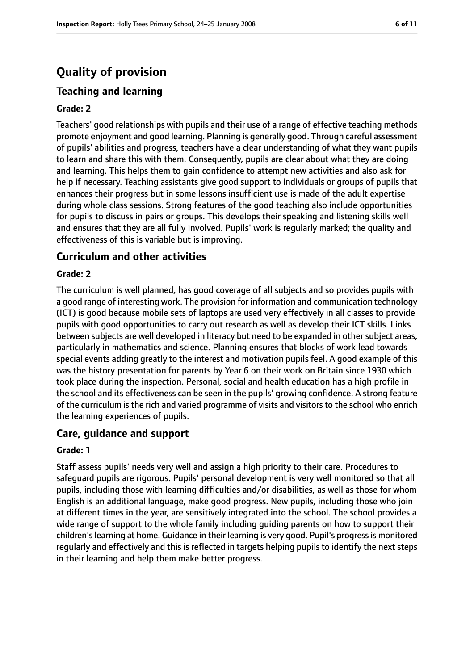# **Quality of provision**

# **Teaching and learning**

#### **Grade: 2**

Teachers' good relationships with pupils and their use of a range of effective teaching methods promote enjoyment and good learning. Planning is generally good. Through careful assessment of pupils' abilities and progress, teachers have a clear understanding of what they want pupils to learn and share this with them. Consequently, pupils are clear about what they are doing and learning. This helps them to gain confidence to attempt new activities and also ask for help if necessary. Teaching assistants give good support to individuals or groups of pupils that enhances their progress but in some lessons insufficient use is made of the adult expertise during whole class sessions. Strong features of the good teaching also include opportunities for pupils to discuss in pairs or groups. This develops their speaking and listening skills well and ensures that they are all fully involved. Pupils' work is regularly marked; the quality and effectiveness of this is variable but is improving.

#### **Curriculum and other activities**

#### **Grade: 2**

The curriculum is well planned, has good coverage of all subjects and so provides pupils with a good range of interesting work. The provision for information and communication technology (ICT) is good because mobile sets of laptops are used very effectively in all classes to provide pupils with good opportunities to carry out research as well as develop their ICT skills. Links between subjects are well developed in literacy but need to be expanded in other subject areas, particularly in mathematics and science. Planning ensures that blocks of work lead towards special events adding greatly to the interest and motivation pupils feel. A good example of this was the history presentation for parents by Year 6 on their work on Britain since 1930 which took place during the inspection. Personal, social and health education has a high profile in the school and its effectiveness can be seen in the pupils' growing confidence. A strong feature of the curriculum is the rich and varied programme of visits and visitors to the school who enrich the learning experiences of pupils.

#### **Care, guidance and support**

#### **Grade: 1**

Staff assess pupils' needs very well and assign a high priority to their care. Procedures to safeguard pupils are rigorous. Pupils' personal development is very well monitored so that all pupils, including those with learning difficulties and/or disabilities, as well as those for whom English is an additional language, make good progress. New pupils, including those who join at different times in the year, are sensitively integrated into the school. The school provides a wide range of support to the whole family including guiding parents on how to support their children'slearning at home. Guidance in their learning is very good. Pupil's progressis monitored regularly and effectively and this is reflected in targets helping pupils to identify the next steps in their learning and help them make better progress.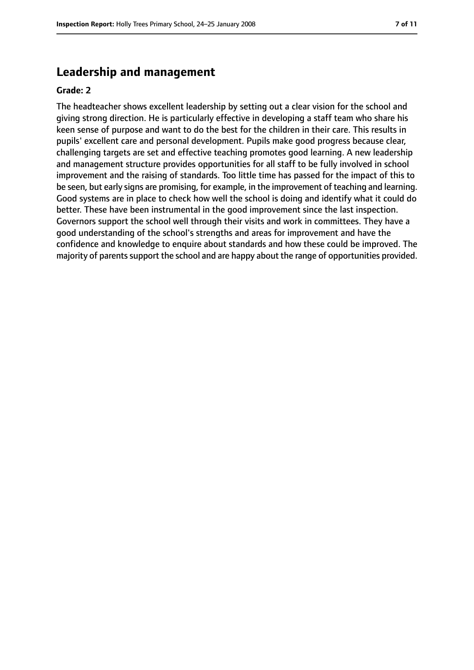# **Leadership and management**

#### **Grade: 2**

The headteacher shows excellent leadership by setting out a clear vision for the school and giving strong direction. He is particularly effective in developing a staff team who share his keen sense of purpose and want to do the best for the children in their care. This results in pupils' excellent care and personal development. Pupils make good progress because clear, challenging targets are set and effective teaching promotes good learning. A new leadership and management structure provides opportunities for all staff to be fully involved in school improvement and the raising of standards. Too little time has passed for the impact of this to be seen, but early signs are promising, for example, in the improvement of teaching and learning. Good systems are in place to check how well the school is doing and identify what it could do better. These have been instrumental in the good improvement since the last inspection. Governors support the school well through their visits and work in committees. They have a good understanding of the school's strengths and areas for improvement and have the confidence and knowledge to enquire about standards and how these could be improved. The majority of parents support the school and are happy about the range of opportunities provided.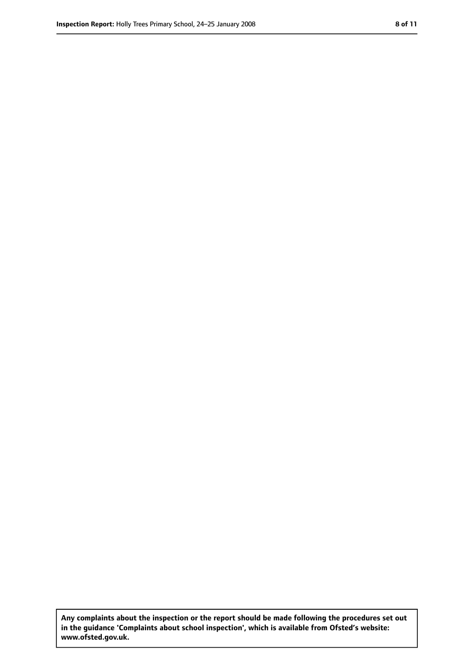**Any complaints about the inspection or the report should be made following the procedures set out in the guidance 'Complaints about school inspection', which is available from Ofsted's website: www.ofsted.gov.uk.**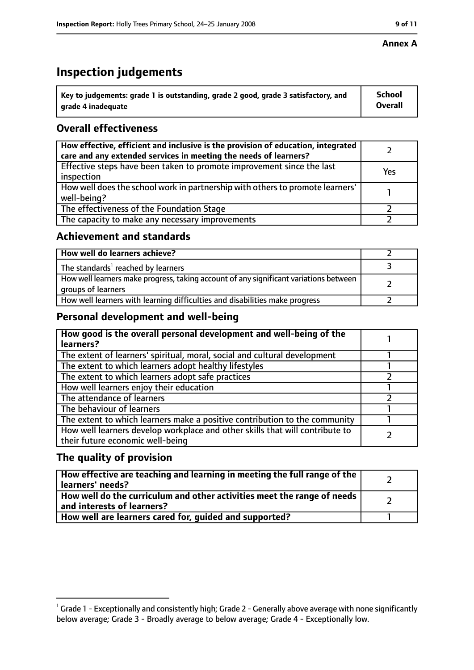#### **Annex A**

# **Inspection judgements**

| $^{\backprime}$ Key to judgements: grade 1 is outstanding, grade 2 good, grade 3 satisfactory, and | <b>School</b>  |
|----------------------------------------------------------------------------------------------------|----------------|
| arade 4 inadequate                                                                                 | <b>Overall</b> |

# **Overall effectiveness**

| How effective, efficient and inclusive is the provision of education, integrated<br>care and any extended services in meeting the needs of learners? |     |
|------------------------------------------------------------------------------------------------------------------------------------------------------|-----|
| Effective steps have been taken to promote improvement since the last<br>inspection                                                                  | Yes |
| How well does the school work in partnership with others to promote learners'<br>well-being?                                                         |     |
| The effectiveness of the Foundation Stage                                                                                                            |     |
| The capacity to make any necessary improvements                                                                                                      |     |

#### **Achievement and standards**

| How well do learners achieve?                                                                               |  |
|-------------------------------------------------------------------------------------------------------------|--|
| The standards <sup>1</sup> reached by learners                                                              |  |
| How well learners make progress, taking account of any significant variations between<br>groups of learners |  |
| How well learners with learning difficulties and disabilities make progress                                 |  |

### **Personal development and well-being**

| How good is the overall personal development and well-being of the<br>learners?                                  |  |
|------------------------------------------------------------------------------------------------------------------|--|
| The extent of learners' spiritual, moral, social and cultural development                                        |  |
| The extent to which learners adopt healthy lifestyles                                                            |  |
| The extent to which learners adopt safe practices                                                                |  |
| How well learners enjoy their education                                                                          |  |
| The attendance of learners                                                                                       |  |
| The behaviour of learners                                                                                        |  |
| The extent to which learners make a positive contribution to the community                                       |  |
| How well learners develop workplace and other skills that will contribute to<br>their future economic well-being |  |

### **The quality of provision**

| How effective are teaching and learning in meeting the full range of the<br>learners' needs?          |  |
|-------------------------------------------------------------------------------------------------------|--|
| How well do the curriculum and other activities meet the range of needs<br>and interests of learners? |  |
| How well are learners cared for, quided and supported?                                                |  |

 $^1$  Grade 1 - Exceptionally and consistently high; Grade 2 - Generally above average with none significantly below average; Grade 3 - Broadly average to below average; Grade 4 - Exceptionally low.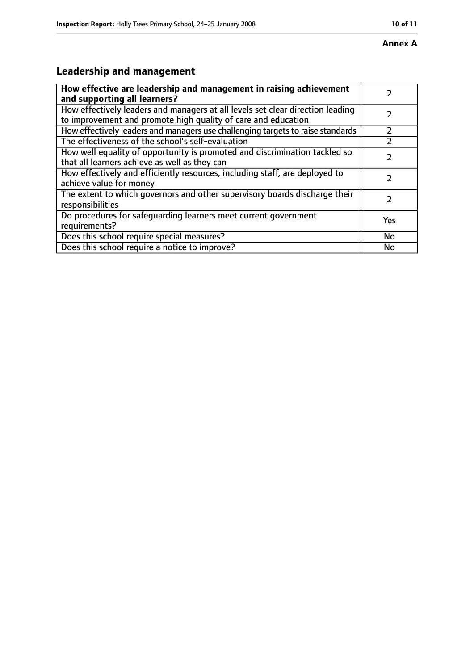# **Leadership and management**

| How effective are leadership and management in raising achievement<br>and supporting all learners?                                              |           |
|-------------------------------------------------------------------------------------------------------------------------------------------------|-----------|
| How effectively leaders and managers at all levels set clear direction leading<br>to improvement and promote high quality of care and education |           |
| How effectively leaders and managers use challenging targets to raise standards                                                                 |           |
| The effectiveness of the school's self-evaluation                                                                                               |           |
| How well equality of opportunity is promoted and discrimination tackled so<br>that all learners achieve as well as they can                     |           |
| How effectively and efficiently resources, including staff, are deployed to<br>achieve value for money                                          |           |
| The extent to which governors and other supervisory boards discharge their<br>responsibilities                                                  |           |
| Do procedures for safequarding learners meet current government<br>requirements?                                                                | Yes       |
| Does this school require special measures?                                                                                                      | <b>No</b> |
| Does this school require a notice to improve?                                                                                                   | No        |